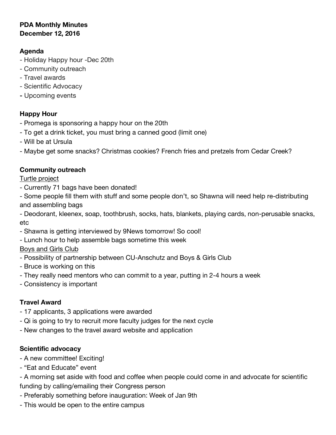## **PDA Monthly Minutes December 12, 2016**

## **Agenda**

- Holiday Happy hour -Dec 20th
- Community outreach
- Travel awards
- Scientific Advocacy
- **-** Upcoming events

# **Happy Hour**

- Promega is sponsoring a happy hour on the 20th
- To get a drink ticket, you must bring a canned good (limit one)
- Will be at Ursula
- Maybe get some snacks? Christmas cookies? French fries and pretzels from Cedar Creek?

# **Community outreach**

Turtle project

- Currently 71 bags have been donated!

- Some people fill them with stuff and some people don't, so Shawna will need help re-distributing and assembling bags

- Deodorant, kleenex, soap, toothbrush, socks, hats, blankets, playing cards, non-perusable snacks, etc

- Shawna is getting interviewed by 9News tomorrow! So cool!
- Lunch hour to help assemble bags sometime this week

## Boys and Girls Club

- Possibility of partnership between CU-Anschutz and Boys & Girls Club
- Bruce is working on this
- They really need mentors who can commit to a year, putting in 2-4 hours a week
- Consistency is important

# **Travel Award**

- 17 applicants, 3 applications were awarded
- Qi is going to try to recruit more faculty judges for the next cycle
- New changes to the travel award website and application

# **Scientific advocacy**

- A new committee! Exciting!
- "Eat and Educate" event
- A morning set aside with food and coffee when people could come in and advocate for scientific funding by calling/emailing their Congress person
- Preferably something before inauguration: Week of Jan 9th
- This would be open to the entire campus